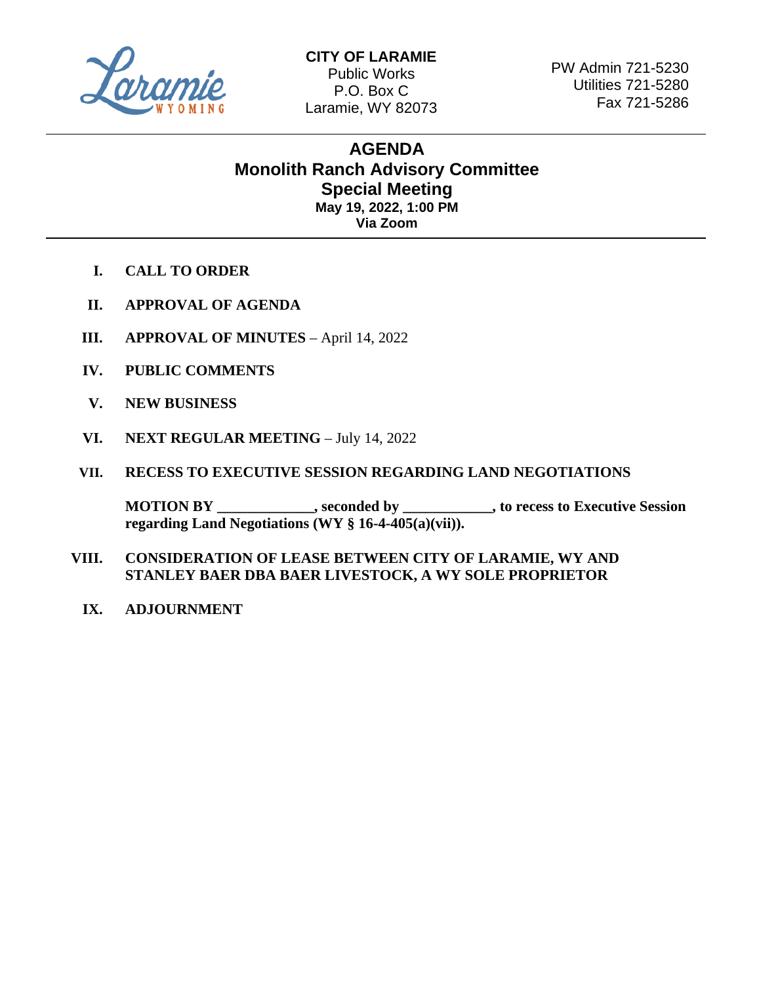

 $\overline{a}$ 

PW Admin 721-5230 Utilities 721-5280 Fax 721-5286

## **AGENDA Monolith Ranch Advisory Committee Special Meeting May 19, 2022, 1:00 PM Via Zoom**

- **I. CALL TO ORDER**
- **II. APPROVAL OF AGENDA**
- **III. APPROVAL OF MINUTES** April 14, 2022
- **IV. PUBLIC COMMENTS**
- **V. NEW BUSINESS**
- **VI. NEXT REGULAR MEETING** July 14, 2022
- **VII. RECESS TO EXECUTIVE SESSION REGARDING LAND NEGOTIATIONS**

**MOTION BY \_\_\_\_\_\_\_\_\_\_\_\_\_, seconded by \_\_\_\_\_\_\_\_\_\_\_\_, to recess to Executive Session regarding Land Negotiations (WY § 16-4-405(a)(vii)).**

- **VIII. CONSIDERATION OF LEASE BETWEEN CITY OF LARAMIE, WY AND STANLEY BAER DBA BAER LIVESTOCK, A WY SOLE PROPRIETOR**
	- **IX. ADJOURNMENT**